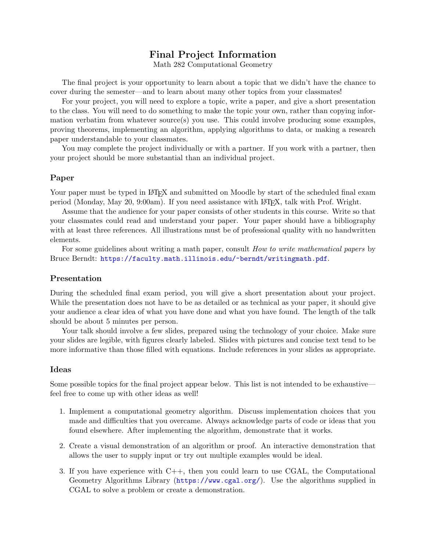## Final Project Information

Math 282 Computational Geometry

The final project is your opportunity to learn about a topic that we didn't have the chance to cover during the semester—and to learn about many other topics from your classmates!

For your project, you will need to explore a topic, write a paper, and give a short presentation to the class. You will need to do something to make the topic your own, rather than copying information verbatim from whatever source(s) you use. This could involve producing some examples, proving theorems, implementing an algorithm, applying algorithms to data, or making a research paper understandable to your classmates.

You may complete the project individually or with a partner. If you work with a partner, then your project should be more substantial than an individual project.

## Paper

Your paper must be typed in LAT<sub>EX</sub> and submitted on Moodle by start of the scheduled final exam period (Monday, May 20, 9:00am). If you need assistance with LATEX, talk with Prof. Wright.

Assume that the audience for your paper consists of other students in this course. Write so that your classmates could read and understand your paper. Your paper should have a bibliography with at least three references. All illustrations must be of professional quality with no handwritten elements.

For some guidelines about writing a math paper, consult *How to write mathematical papers* by Bruce Berndt: <https://faculty.math.illinois.edu/~berndt/writingmath.pdf>.

## Presentation

During the scheduled final exam period, you will give a short presentation about your project. While the presentation does not have to be as detailed or as technical as your paper, it should give your audience a clear idea of what you have done and what you have found. The length of the talk should be about 5 minutes per person.

Your talk should involve a few slides, prepared using the technology of your choice. Make sure your slides are legible, with figures clearly labeled. Slides with pictures and concise text tend to be more informative than those filled with equations. Include references in your slides as appropriate.

## Ideas

Some possible topics for the final project appear below. This list is not intended to be exhaustive feel free to come up with other ideas as well!

- 1. Implement a computational geometry algorithm. Discuss implementation choices that you made and difficulties that you overcame. Always acknowledge parts of code or ideas that you found elsewhere. After implementing the algorithm, demonstrate that it works.
- 2. Create a visual demonstration of an algorithm or proof. An interactive demonstration that allows the user to supply input or try out multiple examples would be ideal.
- 3. If you have experience with C++, then you could learn to use CGAL, the Computational Geometry Algorithms Library (<https://www.cgal.org/>). Use the algorithms supplied in CGAL to solve a problem or create a demonstration.